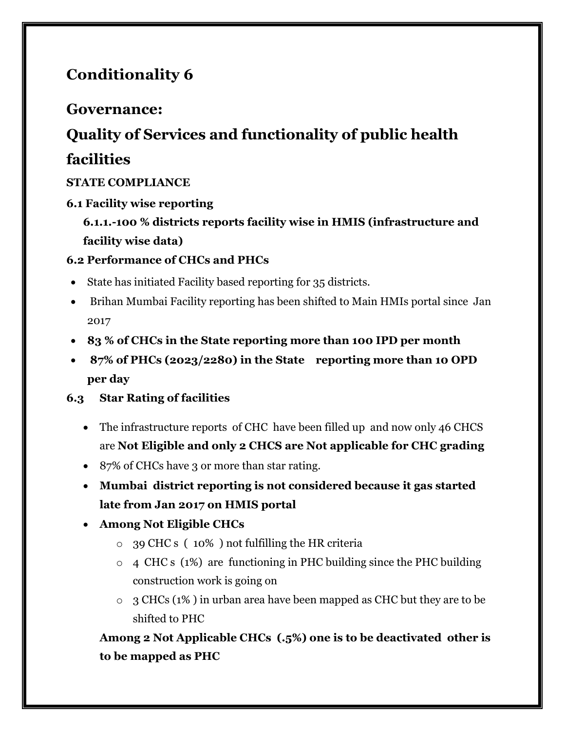## **Conditionality 6**

### **Governance:**

# **Quality of Services and functionality of public health**

## **facilities**

#### **STATE COMPLIANCE**

#### **6.1 Facility wise reporting**

**6.1.1.-100 % districts reports facility wise in HMIS (infrastructure and facility wise data)**

#### **6.2 Performance of CHCs and PHCs**

- State has initiated Facility based reporting for 35 districts.
- Brihan Mumbai Facility reporting has been shifted to Main HMIs portal since Jan 2017
- **83 % of CHCs in the State reporting more than 100 IPD per month**
- **87% of PHCs (2023/2280) in the State reporting more than 10 OPD per day**

#### **6.3 Star Rating of facilities**

- The infrastructure reports of CHC have been filled up and now only 46 CHCS are **Not Eligible and only 2 CHCS are Not applicable for CHC grading**
- 87% of CHCs have 3 or more than star rating.
- **Mumbai district reporting is not considered because it gas started late from Jan 2017 on HMIS portal**

#### **Among Not Eligible CHCs**

- o 39 CHC s ( 10% ) not fulfilling the HR criteria
- o 4 CHC s (1%) are functioning in PHC building since the PHC building construction work is going on
- $\circ$  3 CHCs (1%) in urban area have been mapped as CHC but they are to be shifted to PHC

**Among 2 Not Applicable CHCs (.5%) one is to be deactivated other is to be mapped as PHC**